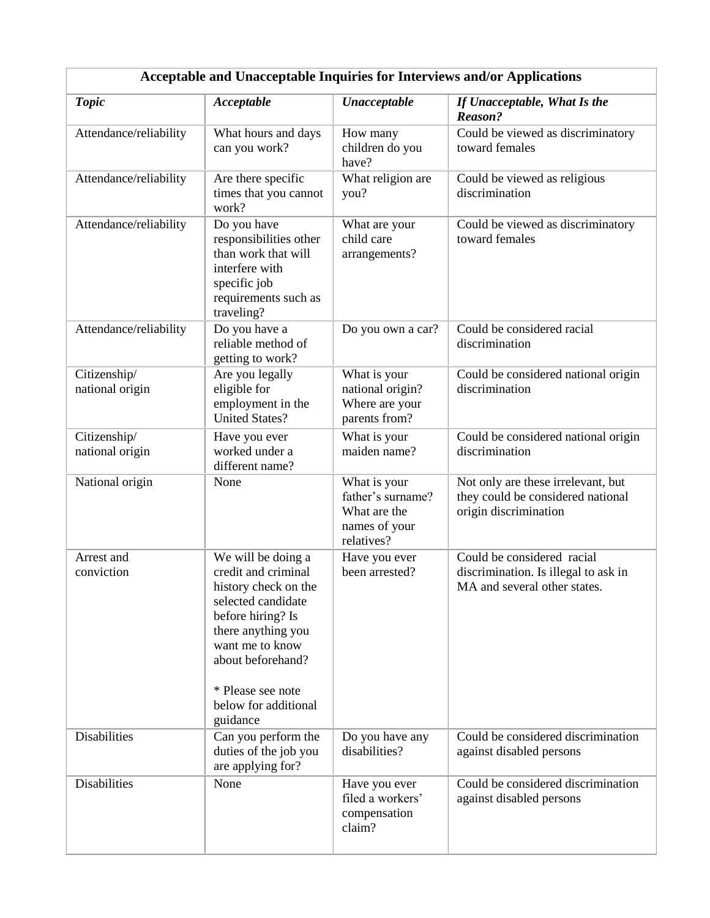| Acceptable and Unacceptable Inquiries for Interviews and/or Applications |                                                                                                                                                                                                                                     |                                                                                  |                                                                                                    |  |  |  |
|--------------------------------------------------------------------------|-------------------------------------------------------------------------------------------------------------------------------------------------------------------------------------------------------------------------------------|----------------------------------------------------------------------------------|----------------------------------------------------------------------------------------------------|--|--|--|
| <b>Topic</b>                                                             | Acceptable                                                                                                                                                                                                                          | <b>Unacceptable</b>                                                              | If Unacceptable, What Is the<br>Reason?                                                            |  |  |  |
| Attendance/reliability                                                   | What hours and days<br>can you work?                                                                                                                                                                                                | How many<br>children do you<br>have?                                             | Could be viewed as discriminatory<br>toward females                                                |  |  |  |
| Attendance/reliability                                                   | Are there specific<br>times that you cannot<br>work?                                                                                                                                                                                | What religion are<br>you?                                                        | Could be viewed as religious<br>discrimination                                                     |  |  |  |
| Attendance/reliability                                                   | Do you have<br>responsibilities other<br>than work that will<br>interfere with<br>specific job<br>requirements such as<br>traveling?                                                                                                | What are your<br>child care<br>arrangements?                                     | Could be viewed as discriminatory<br>toward females                                                |  |  |  |
| Attendance/reliability                                                   | Do you have a<br>reliable method of<br>getting to work?                                                                                                                                                                             | Do you own a car?                                                                | Could be considered racial<br>discrimination                                                       |  |  |  |
| Citizenship/<br>national origin                                          | Are you legally<br>eligible for<br>employment in the<br><b>United States?</b>                                                                                                                                                       | What is your<br>national origin?<br>Where are your<br>parents from?              | Could be considered national origin<br>discrimination                                              |  |  |  |
| Citizenship/<br>national origin                                          | Have you ever<br>worked under a<br>different name?                                                                                                                                                                                  | What is your<br>maiden name?                                                     | Could be considered national origin<br>discrimination                                              |  |  |  |
| National origin                                                          | None                                                                                                                                                                                                                                | What is your<br>father's surname?<br>What are the<br>names of your<br>relatives? | Not only are these irrelevant, but<br>they could be considered national<br>origin discrimination   |  |  |  |
| Arrest and<br>conviction                                                 | We will be doing a<br>credit and criminal<br>history check on the<br>selected candidate<br>before hiring? Is<br>there anything you<br>want me to know<br>about beforehand?<br>* Please see note<br>below for additional<br>guidance | Have you ever<br>been arrested?                                                  | Could be considered racial<br>discrimination. Is illegal to ask in<br>MA and several other states. |  |  |  |
| <b>Disabilities</b>                                                      | Can you perform the<br>duties of the job you<br>are applying for?                                                                                                                                                                   | Do you have any<br>disabilities?                                                 | Could be considered discrimination<br>against disabled persons                                     |  |  |  |
| <b>Disabilities</b>                                                      | None                                                                                                                                                                                                                                | Have you ever<br>filed a workers'<br>compensation<br>claim?                      | Could be considered discrimination<br>against disabled persons                                     |  |  |  |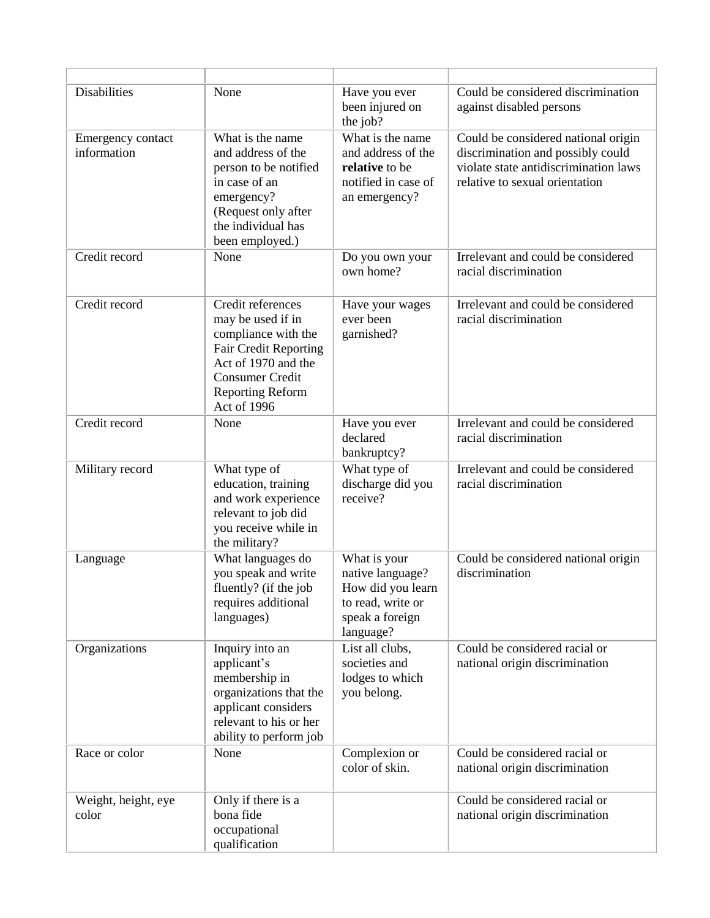| <b>Disabilities</b>              | None                                                                                                                                                                                     | Have you ever<br>been injured on<br>the job?                                                               | Could be considered discrimination<br>against disabled persons                                                                                      |
|----------------------------------|------------------------------------------------------------------------------------------------------------------------------------------------------------------------------------------|------------------------------------------------------------------------------------------------------------|-----------------------------------------------------------------------------------------------------------------------------------------------------|
| Emergency contact<br>information | What is the name<br>and address of the<br>person to be notified<br>in case of an<br>emergency?<br>(Request only after<br>the individual has<br>been employed.)                           | What is the name<br>and address of the<br>relative to be<br>notified in case of<br>an emergency?           | Could be considered national origin<br>discrimination and possibly could<br>violate state antidiscrimination laws<br>relative to sexual orientation |
| Credit record                    | None                                                                                                                                                                                     | Do you own your<br>own home?                                                                               | Irrelevant and could be considered<br>racial discrimination                                                                                         |
| Credit record                    | Credit references<br>may be used if in<br>compliance with the<br><b>Fair Credit Reporting</b><br>Act of 1970 and the<br><b>Consumer Credit</b><br><b>Reporting Reform</b><br>Act of 1996 | Have your wages<br>ever been<br>garnished?                                                                 | Irrelevant and could be considered<br>racial discrimination                                                                                         |
| Credit record                    | None                                                                                                                                                                                     | Have you ever<br>declared<br>bankruptcy?                                                                   | Irrelevant and could be considered<br>racial discrimination                                                                                         |
| Military record                  | What type of<br>education, training<br>and work experience<br>relevant to job did<br>you receive while in<br>the military?                                                               | What type of<br>discharge did you<br>receive?                                                              | Irrelevant and could be considered<br>racial discrimination                                                                                         |
| Language                         | What languages do<br>you speak and write<br>fluently? (if the job<br>requires additional<br>languages)                                                                                   | What is your<br>native language?<br>How did you learn<br>to read, write or<br>speak a foreign<br>language? | Could be considered national origin<br>discrimination                                                                                               |
| Organizations                    | Inquiry into an<br>applicant's<br>membership in<br>organizations that the<br>applicant considers<br>relevant to his or her<br>ability to perform job                                     | List all clubs,<br>societies and<br>lodges to which<br>you belong.                                         | Could be considered racial or<br>national origin discrimination                                                                                     |
| Race or color                    | None                                                                                                                                                                                     | Complexion or<br>color of skin.                                                                            | Could be considered racial or<br>national origin discrimination                                                                                     |
| Weight, height, eye<br>color     | Only if there is a<br>bona fide<br>occupational<br>qualification                                                                                                                         |                                                                                                            | Could be considered racial or<br>national origin discrimination                                                                                     |